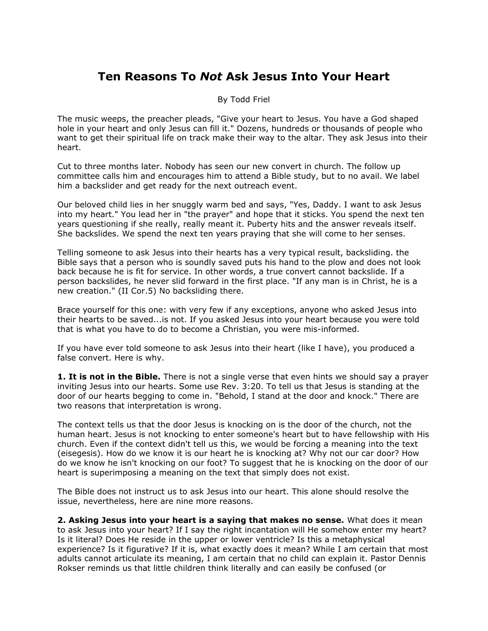## **Ten Reasons To** *Not* **Ask Jesus Into Your Heart**

## By Todd Friel

The music weeps, the preacher pleads, "Give your heart to Jesus. You have a God shaped hole in your heart and only Jesus can fill it." Dozens, hundreds or thousands of people who want to get their spiritual life on track make their way to the altar. They ask Jesus into their heart.

Cut to three months later. Nobody has seen our new convert in church. The follow up committee calls him and encourages him to attend a Bible study, but to no avail. We label him a backslider and get ready for the next outreach event.

Our beloved child lies in her snuggly warm bed and says, "Yes, Daddy. I want to ask Jesus into my heart." You lead her in "the prayer" and hope that it sticks. You spend the next ten years questioning if she really, really meant it. Puberty hits and the answer reveals itself. She backslides. We spend the next ten years praying that she will come to her senses.

Telling someone to ask Jesus into their hearts has a very typical result, backsliding. the Bible says that a person who is soundly saved puts his hand to the plow and does not look back because he is fit for service. In other words, a true convert cannot backslide. If a person backslides, he never slid forward in the first place. "If any man is in Christ, he is a new creation." (II Cor.5) No backsliding there.

Brace yourself for this one: with very few if any exceptions, anyone who asked Jesus into their hearts to be saved...is not. If you asked Jesus into your heart because you were told that is what you have to do to become a Christian, you were mis-informed.

If you have ever told someone to ask Jesus into their heart (like I have), you produced a false convert. Here is why.

1. It is not in the Bible. There is not a single verse that even hints we should say a prayer inviting Jesus into our hearts. Some use Rev. 3:20. To tell us that Jesus is standing at the door of our hearts begging to come in. "Behold, I stand at the door and knock." There are two reasons that interpretation is wrong.

The context tells us that the door Jesus is knocking on is the door of the church, not the human heart. Jesus is not knocking to enter someone's heart but to have fellowship with His church. Even if the context didn't tell us this, we would be forcing a meaning into the text (eisegesis). How do we know it is our heart he is knocking at? Why not our car door? How do we know he isn't knocking on our foot? To suggest that he is knocking on the door of our heart is superimposing a meaning on the text that simply does not exist.

The Bible does not instruct us to ask Jesus into our heart. This alone should resolve the issue, nevertheless, here are nine more reasons.

**2. Asking Jesus into your heart is a saying that makes no sense.** What does it mean to ask Jesus into your heart? If I say the right incantation will He somehow enter my heart? Is it literal? Does He reside in the upper or lower ventricle? Is this a metaphysical experience? Is it figurative? If it is, what exactly does it mean? While I am certain that most adults cannot articulate its meaning, I am certain that no child can explain it. Pastor Dennis Rokser reminds us that little children think literally and can easily be confused (or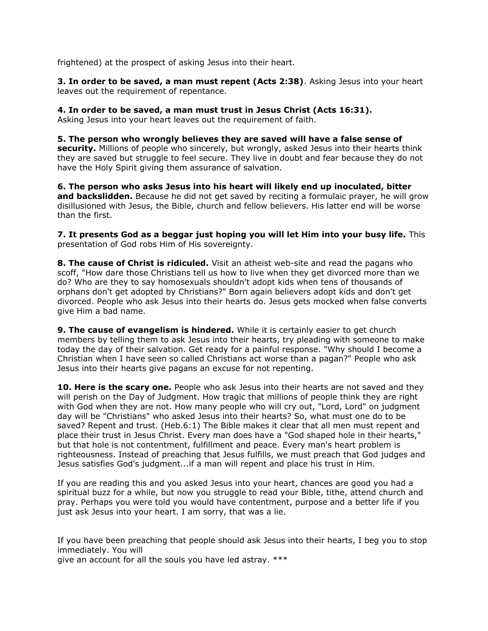frightened) at the prospect of asking Jesus into their heart.

**3. In order to be saved, a man must repent (Acts 2:38)**. Asking Jesus into your heart leaves out the requirement of repentance.

**4. In order to be saved, a man must trust in Jesus Christ (Acts 16:31).**

Asking Jesus into your heart leaves out the requirement of faith.

**5. The person who wrongly believes they are saved will have a false sense of security.** Millions of people who sincerely, but wrongly, asked Jesus into their hearts think they are saved but struggle to feel secure. They live in doubt and fear because they do not have the Holy Spirit giving them assurance of salvation.

**6. The person who asks Jesus into his heart will likely end up inoculated, bitter and backslidden.** Because he did not get saved by reciting a formulaic prayer, he will grow disillusioned with Jesus, the Bible, church and fellow believers. His latter end will be worse than the first.

**7. It presents God as a beggar just hoping you will let Him into your busy life.** This presentation of God robs Him of His sovereignty.

**8. The cause of Christ is ridiculed.** Visit an atheist web-site and read the pagans who scoff, "How dare those Christians tell us how to live when they get divorced more than we do? Who are they to say homosexuals shouldn't adopt kids when tens of thousands of orphans don't get adopted by Christians?" Born again believers adopt kids and don't get divorced. People who ask Jesus into their hearts do. Jesus gets mocked when false converts give Him a bad name.

**9. The cause of evangelism is hindered.** While it is certainly easier to get church members by telling them to ask Jesus into their hearts, try pleading with someone to make today the day of their salvation. Get ready for a painful response. "Why should I become a Christian when I have seen so called Christians act worse than a pagan?" People who ask Jesus into their hearts give pagans an excuse for not repenting.

**10. Here is the scary one.** People who ask Jesus into their hearts are not saved and they will perish on the Day of Judgment. How tragic that millions of people think they are right with God when they are not. How many people who will cry out, "Lord, Lord" on judgment day will be "Christians" who asked Jesus into their hearts? So, what must one do to be saved? Repent and trust. (Heb.6:1) The Bible makes it clear that all men must repent and place their trust in Jesus Christ. Every man does have a "God shaped hole in their hearts," but that hole is not contentment, fulfillment and peace. Every man's heart problem is righteousness. Instead of preaching that Jesus fulfills, we must preach that God judges and Jesus satisfies God's judgment...if a man will repent and place his trust in Him.

If you are reading this and you asked Jesus into your heart, chances are good you had a spiritual buzz for a while, but now you struggle to read your Bible, tithe, attend church and pray. Perhaps you were told you would have contentment, purpose and a better life if you just ask Jesus into your heart. I am sorry, that was a lie.

If you have been preaching that people should ask Jesus into their hearts, I beg you to stop immediately. You will

give an account for all the souls you have led astray. \*\*\*